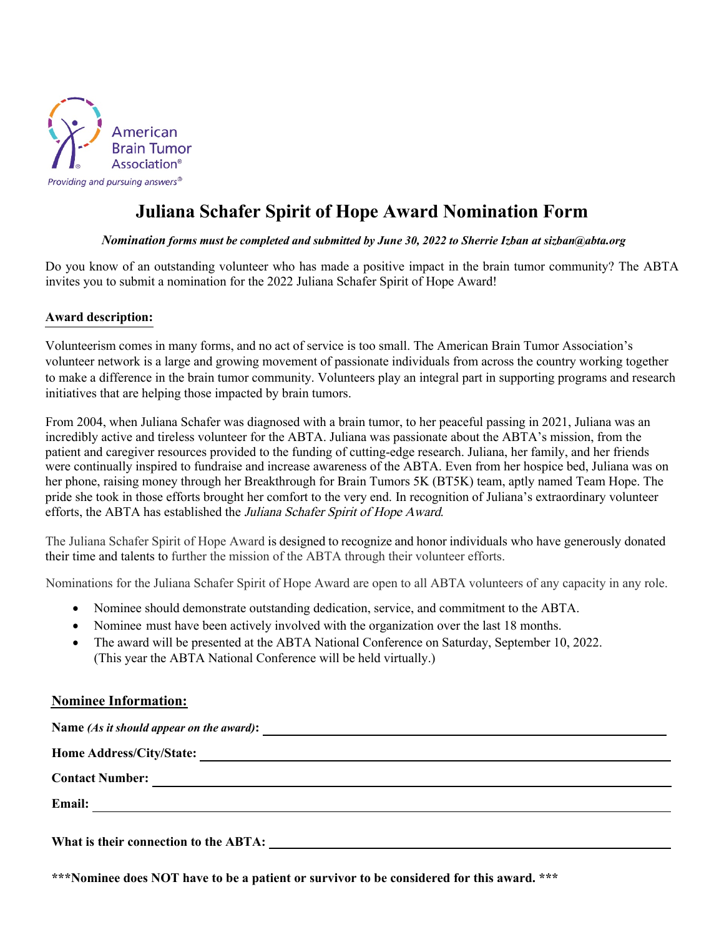

## **Juliana Schafer Spirit of Hope Award Nomination Form**

## *Nomination forms must be completed and submitted by June 30, 2022 to Sherrie Izban at sizban@abta.org*

Do you know of an outstanding volunteer who has made a positive impact in the brain tumor community? The ABTA invites you to submit a nomination for the 2022 Juliana Schafer Spirit of Hope Award!

## **Award description:**

Volunteerism comes in many forms, and no act of service is too small. The American Brain Tumor Association's volunteer network is a large and growing movement of passionate individuals from across the country working together to make a difference in the brain tumor community. Volunteers play an integral part in supporting programs and research initiatives that are helping those impacted by brain tumors.

From 2004, when Juliana Schafer was diagnosed with a brain tumor, to her peaceful passing in 2021, Juliana was an incredibly active and tireless volunteer for the ABTA. Juliana was passionate about the ABTA's mission, from the patient and caregiver resources provided to the funding of cutting-edge research. Juliana, her family, and her friends were continually inspired to fundraise and increase awareness of the ABTA. Even from her hospice bed, Juliana was on her phone, raising money through her Breakthrough for Brain Tumors 5K (BT5K) team, aptly named Team Hope. The pride she took in those efforts brought her comfort to the very end. In recognition of Juliana's extraordinary volunteer efforts, the ABTA has established the Juliana Schafer Spirit of Hope Award.

The Juliana Schafer Spirit of Hope Award is designed to recognize and honor individuals who have generously donated their time and talents to further the mission of the ABTA through their volunteer efforts.

Nominations for the Juliana Schafer Spirit of Hope Award are open to all ABTA volunteers of any capacity in any role.

- Nominee should demonstrate outstanding dedication, service, and commitment to the ABTA.
- Nominee must have been actively involved with the organization over the last 18 months.
- The award will be presented at the ABTA National Conference on Saturday, September 10, 2022. (This year the ABTA National Conference will be held virtually.)

## **Nominee Information:**

**Name** *(As it should appear on the award)***:** 

**Home Address/City/State:**

**Contact Number:**

**Email:**

**What is their connection to the ABTA:** 

**\*\*\*Nominee does NOT have to be a patient or survivor to be considered for this award. \*\*\***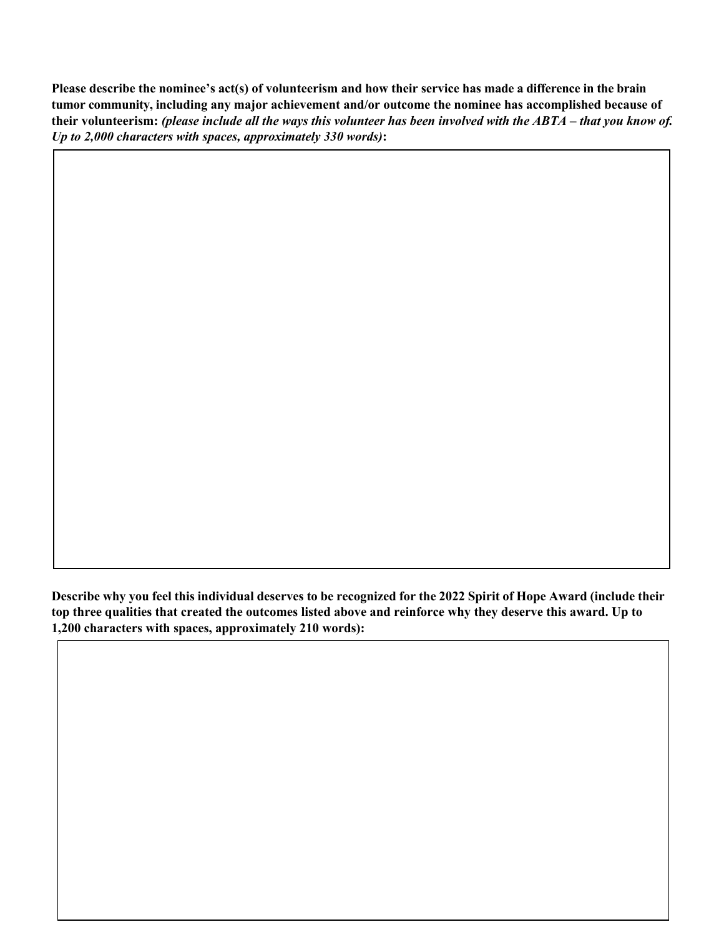**Please describe the nominee's act(s) of volunteerism and how their service has made a difference in the brain tumor community, including any major achievement and/or outcome the nominee has accomplished because of their volunteerism:** *(please include all the ways this volunteer has been involved with the ABTA – that you know of. Up to 2,000 characters with spaces, approximately 330 words)***:** 

**Describe why you feel this individual deserves to be recognized for the 2022 Spirit of Hope Award (include their top three qualities that created the outcomes listed above and reinforce why they deserve this award. Up to 1,200 characters with spaces, approximately 210 words):**